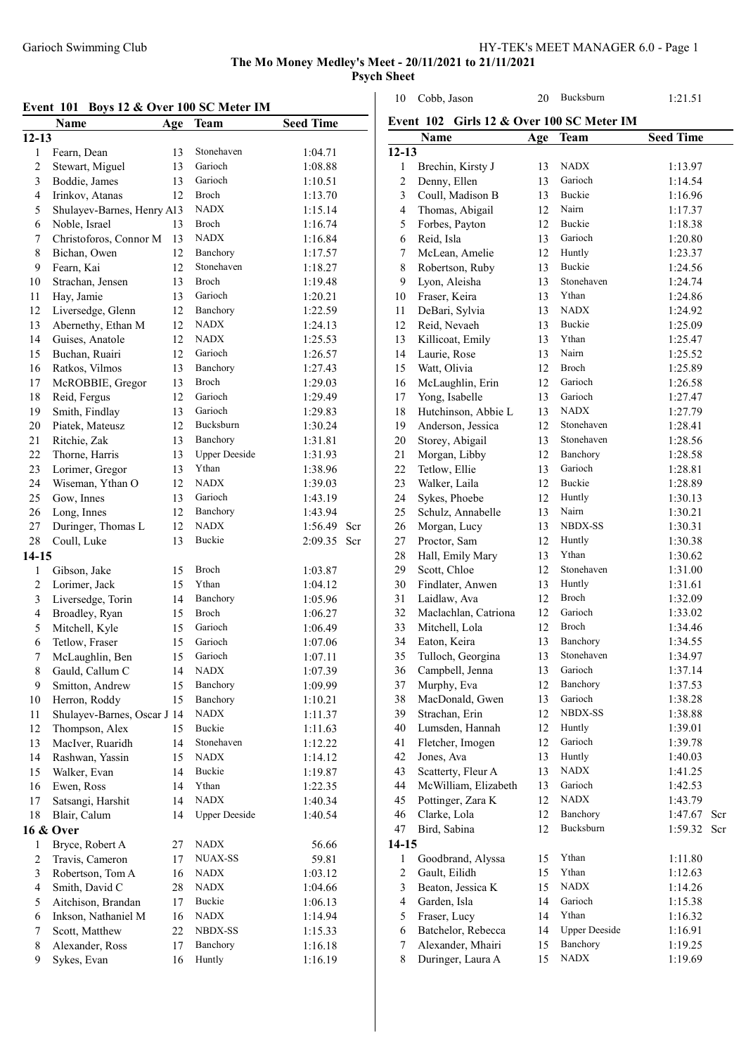Event 102 Girls 12 & Over 100 SC Meter IM

Cobb, Jason 20 Bucksburn 1:21.51

The Mo Money Medley's Meet - 20/11/2021 to 21/11/2021 Psych Sheet

| Event 101 Boys 12 & Over 100 SC Meter IM |                             |     |                      |                  |  |
|------------------------------------------|-----------------------------|-----|----------------------|------------------|--|
|                                          | <b>Name</b>                 | Age | Team                 | <b>Seed Time</b> |  |
| $12 - 13$                                |                             |     |                      |                  |  |
| $\mathbf{1}$                             | Fearn, Dean                 | 13  | Stonehaven           | 1:04.71          |  |
| $\overline{c}$                           | Stewart, Miguel             | 13  | Garioch              | 1:08.88          |  |
| 3                                        | Boddie, James               | 13  | Garioch              | 1:10.51          |  |
| $\overline{4}$                           | Irinkov, Atanas             | 12  | Broch                | 1:13.70          |  |
| 5                                        | Shulayev-Barnes, Henry A13  |     | <b>NADX</b>          | 1:15.14          |  |
| 6                                        | Noble, Israel               | 13  | <b>Broch</b>         | 1:16.74          |  |
| 7                                        | Christoforos, Connor M      | 13  | <b>NADX</b>          | 1:16.84          |  |
| 8                                        | Bichan, Owen                | 12  | Banchory             | 1:17.57          |  |
| 9                                        | Fearn, Kai                  | 12  | Stonehaven           | 1:18.27          |  |
| 10                                       | Strachan, Jensen            | 13  | <b>Broch</b>         | 1:19.48          |  |
| 11                                       | Hay, Jamie                  | 13  | Garioch              | 1:20.21          |  |
| 12                                       | Liversedge, Glenn           | 12  | Banchory             | 1:22.59          |  |
| 13                                       | Abernethy, Ethan M          | 12  | <b>NADX</b>          | 1:24.13          |  |
| 14                                       | Guises, Anatole             | 12  | <b>NADX</b>          | 1:25.53          |  |
| 15                                       | Buchan, Ruairi              | 12  | Garioch              | 1:26.57          |  |
| 16                                       | Ratkos, Vilmos              | 13  | Banchory             | 1:27.43          |  |
| 17                                       | McROBBIE, Gregor            | 13  | Broch                | 1:29.03          |  |
| 18                                       | Reid, Fergus                | 12  | Garioch              | 1:29.49          |  |
| 19                                       | Smith, Findlay              | 13  | Garioch              | 1:29.83          |  |
| 20                                       | Piatek, Mateusz             | 12  | Bucksburn            | 1:30.24          |  |
| 21                                       | Ritchie, Zak                | 13  | Banchory             | 1:31.81          |  |
| 22                                       | Thorne, Harris              | 13  | <b>Upper Deeside</b> | 1:31.93          |  |
| 23                                       | Lorimer, Gregor             | 13  | Ythan                | 1:38.96          |  |
| 24                                       | Wiseman, Ythan O            | 12  | <b>NADX</b>          | 1:39.03          |  |
| 25                                       | Gow, Innes                  | 13  | Garioch              | 1:43.19          |  |
| 26                                       | Long, Innes                 | 12  | Banchory             | 1:43.94          |  |
| 27                                       | Duringer, Thomas L          | 12  | <b>NADX</b>          | 1:56.49<br>Scr   |  |
| 28                                       | Coull, Luke                 | 13  | Buckie               | 2:09.35<br>Scr   |  |
| $14 - 15$                                |                             |     |                      |                  |  |
| $\mathbf{1}$                             | Gibson, Jake                | 15  | Broch                | 1:03.87          |  |
| $\overline{c}$                           | Lorimer, Jack               | 15  | Ythan                | 1:04.12          |  |
| 3                                        | Liversedge, Torin           | 14  | Banchory             | 1:05.96          |  |
| 4                                        | Broadley, Ryan              | 15  | Broch                | 1:06.27          |  |
| 5                                        | Mitchell, Kyle              | 15  | Garioch              | 1:06.49          |  |
| 6                                        | Tetlow, Fraser              | 15  | Garioch              | 1:07.06          |  |
| 7                                        | McLaughlin, Ben             | 15  | Garioch              | 1:07.11          |  |
| 8                                        | Gauld, Callum C             | 14  | <b>NADX</b>          | 1:07.39          |  |
| 9                                        | Smitton, Andrew             | 15  | Banchory             | 1:09.99          |  |
| 10                                       | Herron, Roddy               | 15  | Banchory             | 1:10.21          |  |
| 11                                       | Shulayev-Barnes, Oscar J 14 |     | <b>NADX</b>          | 1:11.37          |  |
| 12                                       | Thompson, Alex              | 15  | Buckie               | 1:11.63          |  |
| 13                                       | MacIver, Ruaridh            | 14  | Stonehaven           | 1:12.22          |  |
| 14                                       | Rashwan, Yassin             | 15  | <b>NADX</b>          | 1:14.12          |  |
| 15                                       | Walker, Evan                | 14  | Buckie               | 1:19.87          |  |
| 16                                       | Ewen, Ross                  | 14  | Ythan                | 1:22.35          |  |
| 17                                       | Satsangi, Harshit           | 14  | <b>NADX</b>          | 1:40.34          |  |
| 18                                       | Blair, Calum                | 14  | <b>Upper Deeside</b> | 1:40.54          |  |
|                                          | 16 & Over                   |     |                      |                  |  |
| 1                                        | Bryce, Robert A             | 27  | <b>NADX</b>          | 56.66            |  |
| $\overline{\mathbf{c}}$                  | Travis, Cameron             | 17  | <b>NUAX-SS</b>       | 59.81            |  |
| 3                                        | Robertson, Tom A            | 16  | <b>NADX</b>          | 1:03.12          |  |
| $\overline{\mathbf{4}}$                  | Smith, David C              | 28  | NADX                 | 1:04.66          |  |
| 5                                        | Aitchison, Brandan          | 17  | Buckie               | 1:06.13          |  |
| 6                                        | Inkson, Nathaniel M         | 16  | <b>NADX</b>          | 1:14.94          |  |
| $\boldsymbol{7}$                         | Scott, Matthew              | 22  | NBDX-SS              | 1:15.33          |  |
| 8                                        | Alexander, Ross             | 17  | Banchory             | 1:16.18          |  |
| 9                                        | Sykes, Evan                 | 16  | Huntly               | 1:16.19          |  |
|                                          |                             |     |                      |                  |  |

|                | <b>Name</b>          | Age | <b>Team</b>          | <b>Seed Time</b> |
|----------------|----------------------|-----|----------------------|------------------|
| $12 - 13$      |                      |     |                      |                  |
| $\mathbf{1}$   | Brechin, Kirsty J    | 13  | <b>NADX</b>          | 1:13.97          |
| $\overline{c}$ | Denny, Ellen         | 13  | Garioch              | 1:14.54          |
| 3              | Coull, Madison B     | 13  | Buckie               | 1:16.96          |
| $\overline{4}$ | Thomas, Abigail      | 12  | Nairn                | 1:17.37          |
| 5              | Forbes, Payton       | 12  | Buckie               | 1:18.38          |
| 6              | Reid, Isla           | 13  | Garioch              | 1:20.80          |
| 7              | McLean, Amelie       | 12  | Huntly               | 1:23.37          |
| 8              | Robertson, Ruby      | 13  | <b>Buckie</b>        | 1:24.56          |
| 9              | Lyon, Aleisha        | 13  | Stonehaven           | 1:24.74          |
| 10             | Fraser, Keira        | 13  | Ythan                | 1:24.86          |
| 11             | DeBari, Sylvia       | 13  | <b>NADX</b>          | 1:24.92          |
| 12             | Reid, Nevaeh         | 13  | Buckie               | 1:25.09          |
| 13             | Killicoat, Emily     | 13  | Ythan                | 1:25.47          |
| 14             | Laurie, Rose         | 13  | Nairn                | 1:25.52          |
| 15             | Watt, Olivia         | 12  | Broch                | 1:25.89          |
| 16             | McLaughlin, Erin     | 12  | Garioch              | 1:26.58          |
| 17             | Yong, Isabelle       | 13  | Garioch              | 1:27.47          |
| 18             | Hutchinson, Abbie L  | 13  | <b>NADX</b>          | 1:27.79          |
| 19             | Anderson, Jessica    | 12  | Stonehaven           | 1:28.41          |
| 20             | Storey, Abigail      | 13  | Stonehaven           | 1:28.56          |
| 21             | Morgan, Libby        | 12  | Banchory             | 1:28.58          |
| 22             | Tetlow, Ellie        | 13  | Garioch              | 1:28.81          |
| 23             | Walker, Laila        | 12  | Buckie               | 1:28.89          |
| 24             | Sykes, Phoebe        | 12  | Huntly               | 1:30.13          |
| 25             | Schulz, Annabelle    | 13  | Nairn                | 1:30.21          |
| 26             | Morgan, Lucy         | 13  | <b>NBDX-SS</b>       | 1:30.31          |
| 27             | Proctor, Sam         | 12  | Huntly               | 1:30.38          |
| 28             | Hall, Emily Mary     | 13  | Ythan                | 1:30.62          |
| 29             | Scott, Chloe         | 12  | Stonehaven           | 1:31.00          |
| 30             | Findlater, Anwen     | 13  | Huntly               | 1:31.61          |
| 31             | Laidlaw, Ava         | 12  | Broch                | 1:32.09          |
| 32             | Maclachlan, Catriona | 12  | Garioch              | 1:33.02          |
| 33             | Mitchell, Lola       | 12  | Broch                | 1:34.46          |
| 34             | Eaton, Keira         | 13  | Banchory             | 1:34.55          |
| 35             | Tulloch, Georgina    | 13  | Stonehaven           | 1:34.97          |
| 36             | Campbell, Jenna      | 13  | Garioch              | 1:37.14          |
| 37             | Murphy, Eva          | 12  | Banchory             | 1:37.53          |
| 38             | MacDonald, Gwen      | 13  | Garioch              | 1:38.28          |
| 39             | Strachan, Erin       | 12  | <b>NBDX-SS</b>       | 1:38.88          |
| 40             | Lumsden, Hannah      | 12  | Huntly               | 1:39.01          |
| 41             | Fletcher, Imogen     | 12  | Garioch              | 1:39.78          |
| 42             | Jones, Ava           | 13  | Huntly               | 1:40.03          |
| 43             | Scatterty, Fleur A   | 13  | <b>NADX</b>          | 1:41.25          |
| 44             | McWilliam, Elizabeth | 13  | Garioch              | 1:42.53          |
| 45             | Pottinger, Zara K    | 12  | NADX                 | 1:43.79          |
| 46             | Clarke, Lola         | 12  | Banchory             | 1:47.67<br>Scr   |
| 47             | Bird, Sabina         | 12  | Bucksburn            | 1:59.32<br>Scr   |
| $14-15$        |                      |     |                      |                  |
| $\mathbf{1}$   | Goodbrand, Alyssa    | 15  | Ythan                | 1:11.80          |
| $\overline{c}$ | Gault, Eilidh        | 15  | Ythan                | 1:12.63          |
| 3              | Beaton, Jessica K    | 15  | <b>NADX</b>          | 1:14.26          |
| $\overline{4}$ | Garden, Isla         | 14  | Garioch              | 1:15.38          |
| 5              | Fraser, Lucy         | 14  | Ythan                | 1:16.32          |
| 6              | Batchelor, Rebecca   | 14  | <b>Upper Deeside</b> | 1:16.91          |
| 7              | Alexander, Mhairi    | 15  | Banchory             | 1:19.25          |
| 8              | Duringer, Laura A    | 15  | <b>NADX</b>          | 1:19.69          |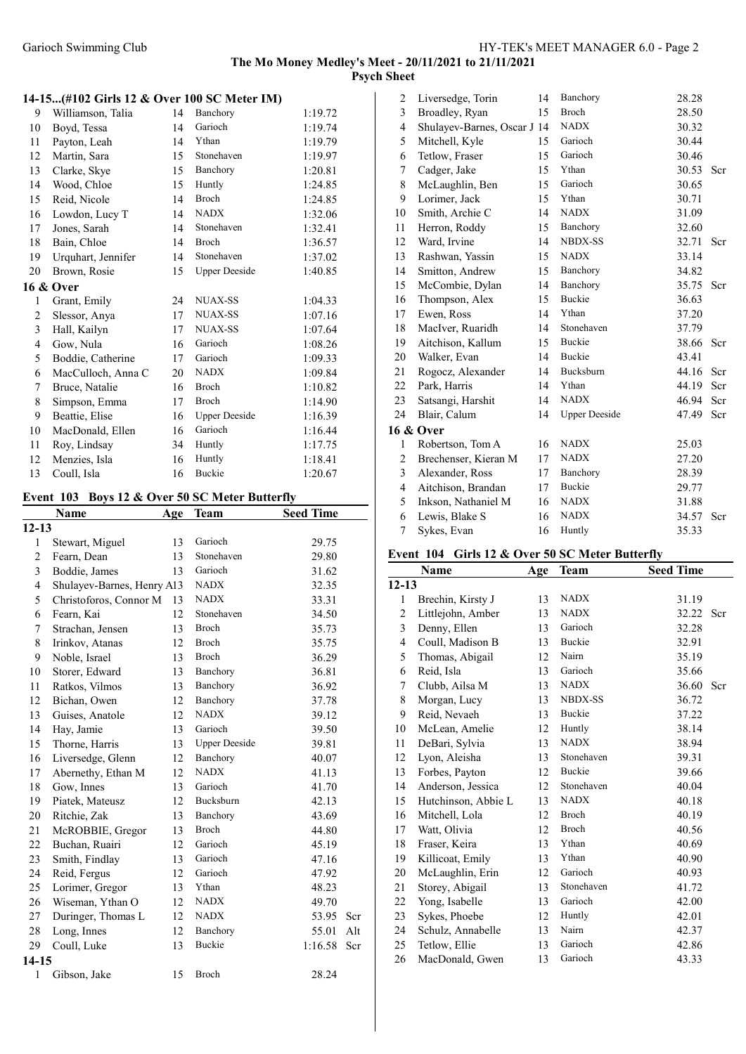## 14-15...(#102 Girls 12 & Over 100 SC Meter IM)

| 9              | Williamson, Talia  | 14 | Banchory             | 1:19.72 |
|----------------|--------------------|----|----------------------|---------|
| 10             | Boyd, Tessa        | 14 | Garioch              | 1:19.74 |
| 11             |                    | 14 | Ythan                | 1:19.79 |
| 12             | Payton, Leah       | 15 | Stonehaven           |         |
|                | Martin, Sara       |    |                      | 1:19.97 |
| 13             | Clarke, Skye       | 15 | Banchory             | 1:20.81 |
| 14             | Wood, Chloe        | 15 | Huntly               | 1:24.85 |
| 15             | Reid, Nicole       | 14 | Broch                | 1:24.85 |
| 16             | Lowdon, Lucy T     | 14 | <b>NADX</b>          | 1:32.06 |
| 17             | Jones, Sarah       | 14 | Stonehaven           | 1:32.41 |
| 18             | Bain, Chloe        | 14 | <b>Broch</b>         | 1:36.57 |
| 19             | Urquhart, Jennifer | 14 | Stonehaven           | 1:37.02 |
| 20             | Brown, Rosie       | 15 | <b>Upper Deeside</b> | 1:40.85 |
|                | 16 & Over          |    |                      |         |
| 1              | Grant, Emily       | 24 | <b>NUAX-SS</b>       | 1:04.33 |
| 2              | Slessor, Anya      | 17 | <b>NUAX-SS</b>       | 1:07.16 |
| $\mathfrak{Z}$ | Hall, Kailyn       | 17 | <b>NUAX-SS</b>       | 1:07.64 |
| 4              | Gow, Nula          | 16 | Garioch              | 1:08.26 |
| 5              | Boddie, Catherine  | 17 | Garioch              | 1:09.33 |
| 6              | MacCulloch, Anna C | 20 | <b>NADX</b>          | 1:09.84 |
| 7              | Bruce, Natalie     | 16 | Broch                | 1:10.82 |
| 8              | Simpson, Emma      | 17 | <b>Broch</b>         | 1:14.90 |
| 9              | Beattie, Elise     | 16 | <b>Upper Deeside</b> | 1:16.39 |
| 10             | MacDonald, Ellen   | 16 | Garioch              | 1:16.44 |
| 11             | Roy, Lindsay       | 34 | Huntly               | 1:17.75 |
| 12             | Menzies, Isla      | 16 | Huntly               | 1:18.41 |
| 13             | Coull, Isla        | 16 | <b>Buckie</b>        | 1:20.67 |

#### Event 103 Boys 12 & Over 50 SC Meter Butterfly

|              | Name                       | Age | Team                 | <b>Seed Time</b> |     |
|--------------|----------------------------|-----|----------------------|------------------|-----|
| $12 - 13$    |                            |     |                      |                  |     |
| 1            | Stewart, Miguel            | 13  | Garioch              | 29.75            |     |
| 2            | Fearn, Dean                | 13  | Stonehaven           | 29.80            |     |
| 3            | Boddie, James              | 13  | Garioch              | 31.62            |     |
| 4            | Shulayev-Barnes, Henry A13 |     | <b>NADX</b>          | 32.35            |     |
| 5            | Christoforos, Connor M     | 13  | <b>NADX</b>          | 33.31            |     |
| 6            | Fearn, Kai                 | 12  | Stonehaven           | 34.50            |     |
| 7            | Strachan, Jensen           | 13  | <b>Broch</b>         | 35.73            |     |
| 8            | Irinkov, Atanas            | 12  | <b>Broch</b>         | 35.75            |     |
| 9            | Noble, Israel              | 13  | <b>Broch</b>         | 36.29            |     |
| 10           | Storer, Edward             | 13  | Banchory             | 36.81            |     |
| 11           | Ratkos, Vilmos             | 13  | Banchory             | 36.92            |     |
| 12           | Bichan, Owen               | 12  | Banchory             | 37.78            |     |
| 13           | Guises, Anatole            | 12  | <b>NADX</b>          | 39.12            |     |
| 14           | Hay, Jamie                 | 13  | Garioch              | 39.50            |     |
| 15           | Thorne, Harris             | 13  | <b>Upper Deeside</b> | 39.81            |     |
| 16           | Liversedge, Glenn          | 12  | Banchory             | 40.07            |     |
| 17           | Abernethy, Ethan M         | 12  | <b>NADX</b>          | 41.13            |     |
| 18           | Gow, Innes                 | 13  | Garioch              | 41.70            |     |
| 19           | Piatek, Mateusz            | 12  | Bucksburn            | 42.13            |     |
| 20           | Ritchie, Zak               | 13  | Banchory             | 43.69            |     |
| 21           | McROBBIE, Gregor           | 13  | <b>Broch</b>         | 44.80            |     |
| 22           | Buchan, Ruairi             | 12  | Garioch              | 45.19            |     |
| 23           | Smith, Findlay             | 13  | Garioch              | 47.16            |     |
| 24           | Reid, Fergus               | 12  | Garioch              | 47.92            |     |
| 25           | Lorimer, Gregor            | 13  | Ythan                | 48.23            |     |
| 26           | Wiseman, Ythan O           | 12  | <b>NADX</b>          | 49.70            |     |
| 27           | Duringer, Thomas L         | 12  | <b>NADX</b>          | 53.95            | Scr |
| 28           | Long, Innes                | 12  | Banchory             | 55.01            | Alt |
| 29           | Coull, Luke                | 13  | <b>Buckie</b>        | 1:16.58          | Scr |
| $14 - 15$    |                            |     |                      |                  |     |
| $\mathbf{1}$ | Gibson, Jake               | 15  | Broch                | 28.24            |     |

| $\overline{c}$ | Liversedge, Torin           | 14 | Banchory             | 28.28 |     |
|----------------|-----------------------------|----|----------------------|-------|-----|
| 3              | Broadley, Ryan              | 15 | <b>Broch</b>         | 28.50 |     |
| 4              | Shulayev-Barnes, Oscar J 14 |    | <b>NADX</b>          | 30.32 |     |
| 5              | Mitchell, Kyle              | 15 | Garioch              | 30.44 |     |
| 6              | Tetlow, Fraser              | 15 | Garioch              | 30.46 |     |
| 7              | Cadger, Jake                | 15 | Ythan                | 30.53 | Scr |
| 8              | McLaughlin, Ben             | 15 | Garioch              | 30.65 |     |
| 9              | Lorimer, Jack               | 15 | Ythan                | 30.71 |     |
| 10             | Smith, Archie C             | 14 | <b>NADX</b>          | 31.09 |     |
| 11             | Herron, Roddy               | 15 | Banchory             | 32.60 |     |
| 12             | Ward, Irvine                | 14 | <b>NBDX-SS</b>       | 32.71 | Scr |
| 13             | Rashwan, Yassin             | 15 | <b>NADX</b>          | 33.14 |     |
| 14             | Smitton, Andrew             | 15 | Banchory             | 34.82 |     |
| 15             | McCombie, Dylan             | 14 | Banchory             | 35.75 | Scr |
| 16             | Thompson, Alex              | 15 | <b>Buckie</b>        | 36.63 |     |
| 17             | Ewen, Ross                  | 14 | Ythan                | 37.20 |     |
| 18             | MacIver, Ruaridh            | 14 | Stonehaven           | 37.79 |     |
| 19             | Aitchison, Kallum           | 15 | Buckie               | 38.66 | Scr |
| 20             | Walker, Evan                | 14 | <b>Buckie</b>        | 43.41 |     |
| 21             | Rogocz, Alexander           | 14 | Bucksburn            | 44.16 | Scr |
| 22             | Park, Harris                | 14 | Ythan                | 44.19 | Scr |
| 23             | Satsangi, Harshit           | 14 | <b>NADX</b>          | 46.94 | Scr |
| 24             | Blair, Calum                | 14 | <b>Upper Deeside</b> | 47.49 | Scr |
|                | 16 & Over                   |    |                      |       |     |
| 1              | Robertson, Tom A            | 16 | <b>NADX</b>          | 25.03 |     |
| $\overline{c}$ | Brechenser, Kieran M        | 17 | <b>NADX</b>          | 27.20 |     |
| 3              | Alexander, Ross             | 17 | Banchory             | 28.39 |     |
| 4              | Aitchison, Brandan          | 17 | Buckie               | 29.77 |     |
| 5              | Inkson, Nathaniel M         | 16 | <b>NADX</b>          | 31.88 |     |
| 6              | Lewis, Blake S              | 16 | <b>NADX</b>          | 34.57 | Scr |
| $\overline{7}$ | Sykes, Evan                 | 16 | Huntly               | 35.33 |     |

# Event 104 Girls 12 & Over 50 SC Meter Butterfly

|                | <b>Name</b>         | Age | <b>Team</b>    | <b>Seed Time</b> |     |
|----------------|---------------------|-----|----------------|------------------|-----|
| $12 - 13$      |                     |     |                |                  |     |
| 1              | Brechin, Kirsty J   | 13  | <b>NADX</b>    | 31.19            |     |
| $\overline{c}$ | Littlejohn, Amber   | 13  | <b>NADX</b>    | 32.22            | Scr |
| 3              | Denny, Ellen        | 13  | Garioch        | 32.28            |     |
| 4              | Coull, Madison B    | 13  | Buckie         | 32.91            |     |
| 5              | Thomas, Abigail     | 12  | Nairn          | 35.19            |     |
| 6              | Reid, Isla          | 13  | Garioch        | 35.66            |     |
| 7              | Clubb, Ailsa M      | 13  | <b>NADX</b>    | 36.60            | Scr |
| 8              | Morgan, Lucy        | 13  | <b>NBDX-SS</b> | 36.72            |     |
| 9              | Reid, Nevaeh        | 13  | <b>Buckie</b>  | 37.22            |     |
| 10             | McLean, Amelie      | 12  | Huntly         | 38.14            |     |
| 11             | DeBari, Sylvia      | 13  | <b>NADX</b>    | 38.94            |     |
| 12             | Lyon, Aleisha       | 13  | Stonehaven     | 39.31            |     |
| 13             | Forbes, Payton      | 12  | Buckie         | 39.66            |     |
| 14             | Anderson, Jessica   | 12  | Stonehaven     | 40.04            |     |
| 15             | Hutchinson, Abbie L | 13  | <b>NADX</b>    | 40.18            |     |
| 16             | Mitchell, Lola      | 12  | <b>Broch</b>   | 40.19            |     |
| 17             | Watt, Olivia        | 12  | <b>Broch</b>   | 40.56            |     |
| 18             | Fraser, Keira       | 13  | Ythan          | 40.69            |     |
| 19             | Killicoat, Emily    | 13  | Ythan          | 40.90            |     |
| 20             | McLaughlin, Erin    | 12  | Garioch        | 40.93            |     |
| 21             | Storey, Abigail     | 13  | Stonehaven     | 41.72            |     |
| 22             | Yong, Isabelle      | 13  | Garioch        | 42.00            |     |
| 23             | Sykes, Phoebe       | 12  | Huntly         | 42.01            |     |
| 24             | Schulz, Annabelle   | 13  | Nairn          | 42.37            |     |
| 25             | Tetlow, Ellie       | 13  | Garioch        | 42.86            |     |
| 26             | MacDonald, Gwen     | 13  | Garioch        | 43.33            |     |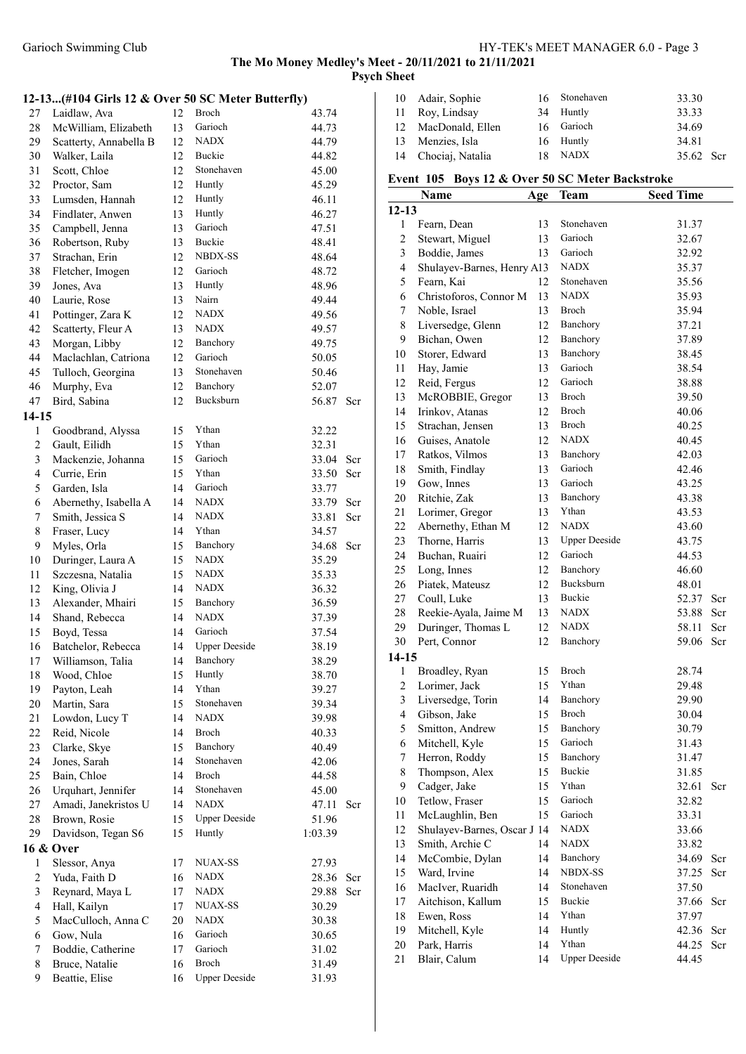The Mo Money Medley's Meet - 20/11/2021 to 21/11/2021

Psych Sheet

## 12-13...(#104 Girls 12 & Over 50 SC Meter Butterfly)

|                          |                        |    |                      | י -     |     |
|--------------------------|------------------------|----|----------------------|---------|-----|
| 27                       | Laidlaw, Ava           | 12 | Broch                | 43.74   |     |
| 28                       | McWilliam, Elizabeth   | 13 | Garioch              | 44.73   |     |
| 29                       | Scatterty, Annabella B | 12 | <b>NADX</b>          | 44.79   |     |
| 30                       | Walker, Laila          | 12 | Buckie               | 44.82   |     |
| 31                       | Scott, Chloe           | 12 | Stonehaven           | 45.00   |     |
| 32                       | Proctor, Sam           | 12 | Huntly               | 45.29   |     |
| 33                       | Lumsden, Hannah        | 12 | Huntly               | 46.11   |     |
| 34                       | Findlater, Anwen       | 13 | Huntly               | 46.27   |     |
| 35                       | Campbell, Jenna        | 13 | Garioch              | 47.51   |     |
| 36                       | Robertson, Ruby        | 13 | Buckie               | 48.41   |     |
| 37                       | Strachan, Erin         | 12 | <b>NBDX-SS</b>       | 48.64   |     |
| 38                       | Fletcher, Imogen       | 12 | Garioch              | 48.72   |     |
| 39                       | Jones, Ava             | 13 | Huntly               | 48.96   |     |
| 40                       | Laurie, Rose           | 13 | Nairn                | 49.44   |     |
| 41                       | Pottinger, Zara K      | 12 | <b>NADX</b>          | 49.56   |     |
| 42                       | Scatterty, Fleur A     | 13 | NADX                 | 49.57   |     |
| 43                       | Morgan, Libby          | 12 | Banchory             | 49.75   |     |
| 44                       | Maclachlan, Catriona   | 12 | Garioch              | 50.05   |     |
| 45                       | Tulloch, Georgina      | 13 | Stonehaven           | 50.46   |     |
| 46                       | Murphy, Eva            | 12 | Banchory             | 52.07   |     |
| 47                       | Bird, Sabina           | 12 | Bucksburn            | 56.87   | Scr |
| $14-15$                  |                        |    |                      |         |     |
| $\mathbf{1}$             | Goodbrand, Alyssa      | 15 | Ythan                | 32.22   |     |
| $\overline{c}$           | Gault, Eilidh          | 15 | Ythan                | 32.31   |     |
| $\mathfrak{Z}$           | Mackenzie, Johanna     | 15 | Garioch              | 33.04   | Scr |
| $\overline{\mathcal{A}}$ | Currie, Erin           | 15 | Ythan                | 33.50   | Scr |
| 5                        | Garden, Isla           | 14 | Garioch              | 33.77   |     |
| 6                        | Abernethy, Isabella A  | 14 | <b>NADX</b>          | 33.79   | Scr |
| 7                        | Smith, Jessica S       | 14 | <b>NADX</b>          | 33.81   | Scr |
| 8                        | Fraser, Lucy           | 14 | Ythan                | 34.57   |     |
| 9                        | Myles, Orla            | 15 | Banchory             | 34.68   | Scr |
| 10                       | Duringer, Laura A      | 15 | <b>NADX</b>          | 35.29   |     |
| 11                       | Szczesna, Natalia      | 15 | <b>NADX</b>          | 35.33   |     |
| 12                       | King, Olivia J         | 14 | <b>NADX</b>          | 36.32   |     |
| 13                       | Alexander, Mhairi      | 15 | Banchory             | 36.59   |     |
| 14                       | Shand, Rebecca         | 14 | <b>NADX</b>          | 37.39   |     |
| 15                       | Boyd, Tessa            | 14 | Garioch              | 37.54   |     |
| 16                       | Batchelor, Rebecca     | 14 | <b>Upper Deeside</b> | 38.19   |     |
| 17                       | Williamson, Talia      | 14 | Banchory             | 38.29   |     |
| 18                       | Wood, Chloe            | 15 | Huntly               | 38.70   |     |
| 19                       | Payton, Leah           | 14 | Ythan                | 39.27   |     |
| 20                       | Martin, Sara           | 15 | Stonehaven           | 39.34   |     |
| 21                       | Lowdon, Lucy T         | 14 | <b>NADX</b>          | 39.98   |     |
| 22                       | Reid, Nicole           | 14 | Broch                | 40.33   |     |
| 23                       | Clarke, Skye           | 15 | Banchory             | 40.49   |     |
| 24                       | Jones, Sarah           | 14 | Stonehaven           | 42.06   |     |
| 25                       | Bain, Chloe            | 14 | Broch                | 44.58   |     |
| 26                       | Urquhart, Jennifer     | 14 | Stonehaven           |         |     |
| 27                       | Amadi, Janekristos U   | 14 | <b>NADX</b>          | 45.00   |     |
|                          |                        |    | <b>Upper Deeside</b> | 47.11   | Scr |
| 28                       | Brown, Rosie           | 15 |                      | 51.96   |     |
| 29                       | Davidson, Tegan S6     | 15 | Huntly               | 1:03.39 |     |
|                          | 16 & Over              |    |                      |         |     |
| 1                        | Slessor, Anya          | 17 | <b>NUAX-SS</b>       | 27.93   |     |
| $\boldsymbol{2}$         | Yuda, Faith D          | 16 | NADX                 | 28.36   | Scr |
| $\mathfrak{Z}$           | Reynard, Maya L        | 17 | <b>NADX</b>          | 29.88   | Scr |
| $\overline{4}$           | Hall, Kailyn           | 17 | NUAX-SS              | 30.29   |     |
| 5                        | MacCulloch, Anna C     | 20 | NADX                 | 30.38   |     |
| 6                        | Gow, Nula              | 16 | Garioch              | 30.65   |     |
| 7                        | Boddie, Catherine      | 17 | Garioch              | 31.02   |     |
| 8                        | Bruce, Natalie         | 16 | Broch                | 31.49   |     |
| 9                        | Beattie, Elise         | 16 | <b>Upper Deeside</b> | 31.93   |     |

| 10 Adair, Sophie    |    | 16 Stonehaven | 33.30     |  |
|---------------------|----|---------------|-----------|--|
| 11 Roy, Lindsay     |    | 34 Huntly     | 33.33     |  |
| 12 MacDonald, Ellen |    | 16 Garioch    | 34.69     |  |
| 13 Menzies, Isla    |    | 16 Huntly     | 34.81     |  |
| 14 Chociaj, Natalia | 18 | NADX          | 35.62 Scr |  |

# Event 105 Boys 12 & Over 50 SC Meter Backstroke

|                          | $\cdot$<br>$\boldsymbol{\omega}$ $\boldsymbol{\omega}$ $\boldsymbol{\omega}$ $\boldsymbol{\mu}$ |     | $\cdots$             | <b>CARDUA OTRU</b> |     |
|--------------------------|-------------------------------------------------------------------------------------------------|-----|----------------------|--------------------|-----|
|                          | <b>Name</b>                                                                                     | Age | <b>Team</b>          | <b>Seed Time</b>   |     |
| $12 - 13$                |                                                                                                 |     |                      |                    |     |
| $\mathbf{1}$             | Fearn, Dean                                                                                     | 13  | Stonehaven           | 31.37              |     |
| $\overline{c}$           | Stewart, Miguel                                                                                 | 13  | Garioch              | 32.67              |     |
| $\mathfrak{Z}$           | Boddie, James                                                                                   | 13  | Garioch              | 32.92              |     |
| $\overline{\mathcal{A}}$ | Shulayev-Barnes, Henry A13                                                                      |     | <b>NADX</b>          | 35.37              |     |
| 5                        | Fearn, Kai                                                                                      | 12  | Stonehaven           | 35.56              |     |
| 6                        | Christoforos, Connor M                                                                          | 13  | <b>NADX</b>          | 35.93              |     |
| 7                        | Noble, Israel                                                                                   | 13  | <b>Broch</b>         | 35.94              |     |
| 8                        | Liversedge, Glenn                                                                               | 12  | Banchory             | 37.21              |     |
| 9                        | Bichan, Owen                                                                                    | 12  | Banchory             | 37.89              |     |
| 10                       | Storer, Edward                                                                                  | 13  | Banchory             | 38.45              |     |
| 11                       | Hay, Jamie                                                                                      | 13  | Garioch              | 38.54              |     |
| 12                       | Reid, Fergus                                                                                    | 12  | Garioch              | 38.88              |     |
| 13                       | McROBBIE, Gregor                                                                                | 13  | Broch                | 39.50              |     |
| 14                       | Irinkov, Atanas                                                                                 | 12  | Broch                | 40.06              |     |
| 15                       | Strachan, Jensen                                                                                | 13  | Broch                | 40.25              |     |
| 16                       | Guises, Anatole                                                                                 | 12  | <b>NADX</b>          | 40.45              |     |
| 17                       | Ratkos, Vilmos                                                                                  | 13  | Banchory             | 42.03              |     |
| 18                       | Smith, Findlay                                                                                  | 13  | Garioch              | 42.46              |     |
| 19                       | Gow, Innes                                                                                      | 13  | Garioch              | 43.25              |     |
| 20                       |                                                                                                 | 13  | Banchory             | 43.38              |     |
|                          | Ritchie, Zak                                                                                    |     | Ythan                |                    |     |
| 21                       | Lorimer, Gregor                                                                                 | 13  |                      | 43.53              |     |
| 22                       | Abernethy, Ethan M                                                                              | 12  | <b>NADX</b>          | 43.60              |     |
| 23                       | Thorne, Harris                                                                                  | 13  | <b>Upper Deeside</b> | 43.75              |     |
| 24                       | Buchan, Ruairi                                                                                  | 12  | Garioch              | 44.53              |     |
| 25                       | Long, Innes                                                                                     | 12  | Banchory             | 46.60              |     |
| 26                       | Piatek, Mateusz                                                                                 | 12  | Bucksburn            | 48.01              |     |
| 27                       | Coull, Luke                                                                                     | 13  | <b>Buckie</b>        | 52.37              | Scr |
| 28                       | Reekie-Ayala, Jaime M                                                                           | 13  | NADX                 | 53.88              | Scr |
| 29                       | Duringer, Thomas L                                                                              | 12  | <b>NADX</b>          | 58.11              | Scr |
| 30                       | Pert, Connor                                                                                    | 12  | Banchory             | 59.06              | Scr |
| $14-15$                  |                                                                                                 |     |                      |                    |     |
| $\mathbf{1}$             | Broadley, Ryan                                                                                  | 15  | Broch                | 28.74              |     |
| $\overline{c}$           | Lorimer, Jack                                                                                   | 15  | Ythan                | 29.48              |     |
| 3                        | Liversedge, Torin                                                                               | 14  | Banchory             | 29.90              |     |
| $\overline{\mathcal{A}}$ | Gibson, Jake                                                                                    | 15  | Broch                | 30.04              |     |
| 5                        | Smitton, Andrew                                                                                 | 15  | Banchory             | 30.79              |     |
| 6                        | Mitchell, Kyle                                                                                  | 15  | Garioch              | 31.43              |     |
| 7                        | Herron, Roddy                                                                                   | 15  | Banchory             | 31.47              |     |
| 8                        | Thompson, Alex                                                                                  | 15  | Buckie               | 31.85              |     |
| 9                        | Cadger, Jake                                                                                    | 15  | Ythan                | 32.61              | Scr |
| 10                       | Tetlow, Fraser                                                                                  | 15  | Garioch              | 32.82              |     |
| 11                       | McLaughlin, Ben                                                                                 | 15  | Garioch              |                    |     |
|                          |                                                                                                 |     | <b>NADX</b>          | 33.31              |     |
| 12                       | Shulayev-Barnes, Oscar J 14                                                                     |     |                      | 33.66              |     |
| 13                       | Smith, Archie C                                                                                 | 14  | <b>NADX</b>          | 33.82              |     |
| 14                       | McCombie, Dylan                                                                                 | 14  | Banchory             | 34.69              | Scr |
| 15                       | Ward, Irvine                                                                                    | 14  | NBDX-SS              | 37.25              | Scr |
| 16                       | MacIver, Ruaridh                                                                                | 14  | Stonehaven           | 37.50              |     |
| 17                       | Aitchison, Kallum                                                                               | 15  | Buckie               | 37.66              | Scr |
| 18                       | Ewen, Ross                                                                                      | 14  | Ythan                | 37.97              |     |
| 19                       | Mitchell, Kyle                                                                                  | 14  | Huntly               | 42.36              | Scr |
| 20                       | Park, Harris                                                                                    | 14  | Ythan                | 44.25              | Scr |
| 21                       | Blair, Calum                                                                                    | 14  | <b>Upper Deeside</b> | 44.45              |     |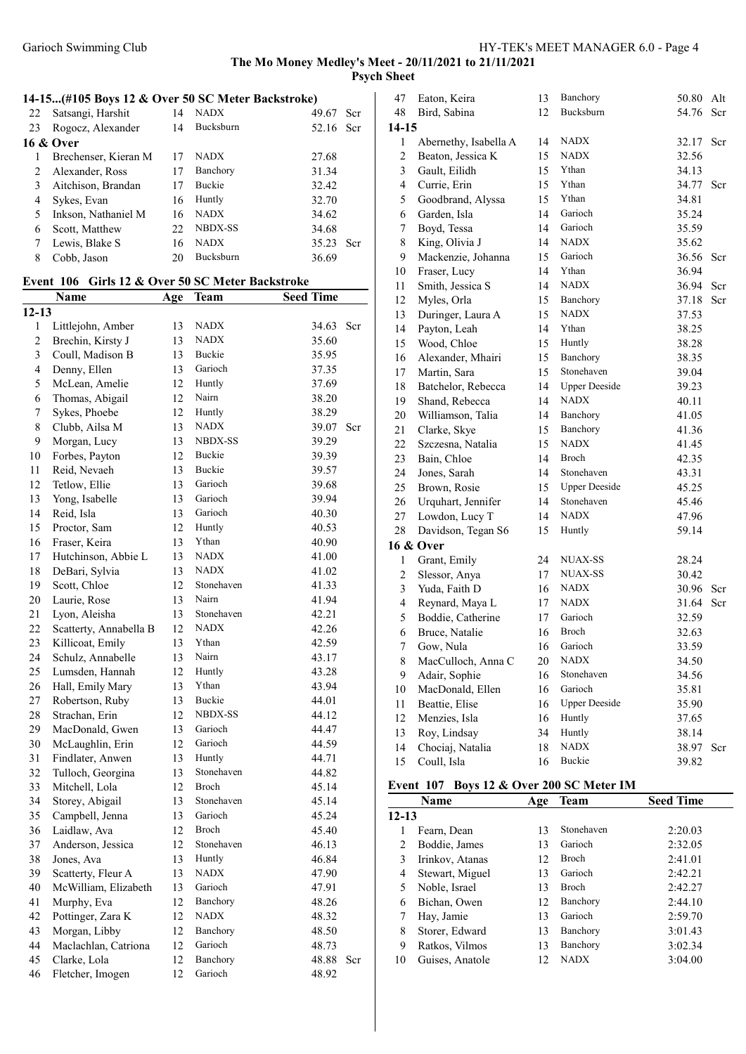## 14-15...(#105 Boys 12 & Over 50 SC Meter Backstroke)

| 22 | Satsangi, Harshit    | 14 | <b>NADX</b>      | 49.67<br>Scr  |
|----|----------------------|----|------------------|---------------|
| 23 | Rogocz, Alexander    | 14 | Bucksburn        | 52.16 Scr     |
|    | 16 & Over            |    |                  |               |
|    | Brechenser, Kieran M | 17 | <b>NADX</b>      | 27.68         |
|    | Alexander, Ross      | 17 | Banchory         | 31.34         |
|    | Aitchison, Brandan   | 17 | <b>Buckie</b>    | 32.42         |
| 4  | Sykes, Evan          | 16 | Huntly           | 32.70         |
|    | Inkson, Nathaniel M  | 16 | <b>NADX</b>      | 34.62         |
| 6  | Scott, Matthew       | 22 | NBDX-SS          | 34.68         |
|    | Lewis, Blake S       | 16 | <b>NADX</b>      | 35.23<br>-Ser |
| 8  | Cobb, Jason          |    | <b>Bucksburn</b> | 36.69         |

# Event 106 Girls 12 & Over 50 SC Meter Backstroke

|                | Name                   | Age | Team           | <b>Seed Time</b> |     |
|----------------|------------------------|-----|----------------|------------------|-----|
| $12 - 13$      |                        |     |                |                  |     |
| 1              | Littlejohn, Amber      | 13  | <b>NADX</b>    | 34.63            | Scr |
| $\overline{c}$ | Brechin, Kirsty J      | 13  | <b>NADX</b>    | 35.60            |     |
| 3              | Coull, Madison B       | 13  | Buckie         | 35.95            |     |
| 4              | Denny, Ellen           | 13  | Garioch        | 37.35            |     |
| 5              | McLean, Amelie         | 12  | Huntly         | 37.69            |     |
| 6              | Thomas, Abigail        | 12  | Nairn          | 38.20            |     |
| 7              | Sykes, Phoebe          | 12  | Huntly         | 38.29            |     |
| 8              | Clubb, Ailsa M         | 13  | <b>NADX</b>    | 39.07            | Scr |
| 9              | Morgan, Lucy           | 13  | <b>NBDX-SS</b> | 39.29            |     |
| 10             | Forbes, Payton         | 12  | Buckie         | 39.39            |     |
| 11             | Reid, Nevaeh           | 13  | Buckie         | 39.57            |     |
| 12             | Tetlow, Ellie          | 13  | Garioch        | 39.68            |     |
| 13             | Yong, Isabelle         | 13  | Garioch        | 39.94            |     |
| 14             | Reid, Isla             | 13  | Garioch        | 40.30            |     |
| 15             | Proctor, Sam           | 12  | Huntly         | 40.53            |     |
| 16             | Fraser, Keira          | 13  | Ythan          | 40.90            |     |
| 17             | Hutchinson, Abbie L    | 13  | <b>NADX</b>    | 41.00            |     |
| 18             | DeBari, Sylvia         | 13  | <b>NADX</b>    | 41.02            |     |
| 19             | Scott, Chloe           | 12  | Stonehaven     | 41.33            |     |
| 20             | Laurie, Rose           | 13  | Nairn          | 41.94            |     |
| 21             | Lyon, Aleisha          | 13  | Stonehaven     | 42.21            |     |
| 22             | Scatterty, Annabella B | 12  | <b>NADX</b>    | 42.26            |     |
| 23             | Killicoat, Emily       | 13  | Ythan          | 42.59            |     |
| 24             | Schulz, Annabelle      | 13  | Nairn          | 43.17            |     |
| 25             | Lumsden, Hannah        | 12  | Huntly         | 43.28            |     |
| 26             | Hall, Emily Mary       | 13  | Ythan          | 43.94            |     |
| 27             | Robertson, Ruby        | 13  | Buckie         | 44.01            |     |
| 28             | Strachan, Erin         | 12  | <b>NBDX-SS</b> | 44.12            |     |
| 29             | MacDonald, Gwen        | 13  | Garioch        | 44.47            |     |
| 30             | McLaughlin, Erin       | 12  | Garioch        | 44.59            |     |
| 31             | Findlater, Anwen       | 13  | Huntly         | 44.71            |     |
| 32             | Tulloch, Georgina      | 13  | Stonehaven     | 44.82            |     |
| 33             | Mitchell, Lola         | 12  | Broch          | 45.14            |     |
| 34             | Storey, Abigail        | 13  | Stonehaven     | 45.14            |     |
| 35             | Campbell, Jenna        | 13  | Garioch        | 45.24            |     |
| 36             | Laidlaw, Ava           | 12  | Broch          | 45.40            |     |
| 37             | Anderson, Jessica      | 12  | Stonehaven     | 46.13            |     |
| 38             | Jones, Ava             | 13  | Huntly         | 46.84            |     |
| 39             | Scatterty, Fleur A     | 13  | <b>NADX</b>    | 47.90            |     |
| 40             | McWilliam, Elizabeth   | 13  | Garioch        | 47.91            |     |
| 41             | Murphy, Eva            | 12  | Banchory       | 48.26            |     |
| 42             | Pottinger, Zara K      | 12  | <b>NADX</b>    | 48.32            |     |
| 43             | Morgan, Libby          | 12  | Banchory       | 48.50            |     |
| 44             | Maclachlan, Catriona   | 12  | Garioch        | 48.73            |     |
| 45             | Clarke, Lola           | 12  | Banchory       | 48.88            | Scr |
| 46             | Fletcher, Imogen       | 12  | Garioch        | 48.92            |     |
|                |                        |     |                |                  |     |

| 47                      | Eaton, Keira          | 13 | Banchory             | 50.80 | Alt |
|-------------------------|-----------------------|----|----------------------|-------|-----|
| 48                      | Bird, Sabina          | 12 | Bucksburn            | 54.76 | Scr |
| 14-15                   |                       |    |                      |       |     |
| 1                       | Abernethy, Isabella A | 14 | NADX                 | 32.17 | Scr |
| 2                       | Beaton, Jessica K     | 15 | <b>NADX</b>          | 32.56 |     |
| 3                       | Gault, Eilidh         | 15 | Ythan                | 34.13 |     |
| $\overline{\mathbf{4}}$ | Currie, Erin          | 15 | Ythan                | 34.77 | Scr |
| 5                       | Goodbrand, Alyssa     | 15 | Ythan                | 34.81 |     |
| 6                       | Garden, Isla          | 14 | Garioch              | 35.24 |     |
| 7                       | Boyd, Tessa           | 14 | Garioch              | 35.59 |     |
| 8                       | King, Olivia J        | 14 | <b>NADX</b>          | 35.62 |     |
| 9                       | Mackenzie, Johanna    | 15 | Garioch              | 36.56 | Scr |
| 10                      | Fraser, Lucy          | 14 | Ythan                | 36.94 |     |
| 11                      | Smith, Jessica S      | 14 | <b>NADX</b>          | 36.94 | Scr |
| 12                      | Myles, Orla           | 15 | Banchory             | 37.18 | Scr |
| 13                      | Duringer, Laura A     | 15 | <b>NADX</b>          | 37.53 |     |
| 14                      | Payton, Leah          | 14 | Ythan                | 38.25 |     |
| 15                      | Wood, Chloe           | 15 | Huntly               | 38.28 |     |
| 16                      | Alexander, Mhairi     | 15 | Banchory             | 38.35 |     |
| 17                      | Martin, Sara          | 15 | Stonehaven           | 39.04 |     |
| 18                      | Batchelor, Rebecca    | 14 | <b>Upper Deeside</b> | 39.23 |     |
| 19                      | Shand, Rebecca        | 14 | <b>NADX</b>          | 40.11 |     |
| 20                      | Williamson, Talia     | 14 | Banchory             | 41.05 |     |
| 21                      | Clarke, Skye          | 15 | Banchory             | 41.36 |     |
| 22                      | Szczesna, Natalia     | 15 | <b>NADX</b>          | 41.45 |     |
| 23                      | Bain, Chloe           | 14 | Broch                | 42.35 |     |
| 24                      | Jones, Sarah          | 14 | Stonehaven           | 43.31 |     |
| 25                      | Brown, Rosie          | 15 | <b>Upper Deeside</b> | 45.25 |     |
| 26                      | Urquhart, Jennifer    | 14 | Stonehaven           | 45.46 |     |
| 27                      | Lowdon, Lucy T        | 14 | <b>NADX</b>          | 47.96 |     |
| 28                      | Davidson, Tegan S6    | 15 | Huntly               | 59.14 |     |
|                         | 16 & Over             |    |                      |       |     |
| 1                       | Grant, Emily          | 24 | NUAX-SS              | 28.24 |     |
| $\overline{c}$          | Slessor, Anya         | 17 | <b>NUAX-SS</b>       | 30.42 |     |
| 3                       | Yuda, Faith D         | 16 | <b>NADX</b>          | 30.96 | Scr |
| $\overline{4}$          | Reynard, Maya L       | 17 | <b>NADX</b>          | 31.64 | Scr |
| 5                       | Boddie, Catherine     | 17 | Garioch              | 32.59 |     |
| 6                       | Bruce, Natalie        | 16 | Broch                | 32.63 |     |
| 7                       | Gow, Nula             | 16 | Garioch              | 33.59 |     |
| 8                       | MacCulloch, Anna C    | 20 | <b>NADX</b>          | 34.50 |     |
| 9                       | Adair, Sophie         | 16 | Stonehaven           | 34.56 |     |
| 10                      | MacDonald, Ellen      | 16 | Garioch              | 35.81 |     |
| 11                      | Beattie, Elise        | 16 | <b>Upper Deeside</b> | 35.90 |     |
| 12                      | Menzies, Isla         | 16 | Huntly               | 37.65 |     |
| 13                      | Roy, Lindsay          | 34 | Huntly               | 38.14 |     |
| 14                      | Chociaj, Natalia      | 18 | <b>NADX</b>          | 38.97 | Scr |
| 15                      | Coull, Isla           | 16 | Buckie               | 39.82 |     |

#### Event 107 Boys 12 & Over 200 SC Meter IM

|           | Name            | Age | Team         | <b>Seed Time</b> |
|-----------|-----------------|-----|--------------|------------------|
| $12 - 13$ |                 |     |              |                  |
|           | Fearn, Dean     | 13  | Stonehaven   | 2:20.03          |
| 2         | Boddie, James   | 13  | Garioch      | 2:32.05          |
| 3         | Irinkov, Atanas | 12  | <b>Broch</b> | 2:41.01          |
| 4         | Stewart, Miguel | 13  | Garioch      | 2:42.21          |
| 5         | Noble, Israel   | 13  | <b>Broch</b> | 2:42.27          |
| 6         | Bichan, Owen    | 12  | Banchory     | 2:44.10          |
| 7         | Hay, Jamie      | 13  | Garioch      | 2:59.70          |
| 8         | Storer, Edward  | 13  | Banchory     | 3:01.43          |
| 9         | Ratkos, Vilmos  | 13  | Banchory     | 3:02.34          |
| 10        | Guises, Anatole | 12  | <b>NADX</b>  | 3:04.00          |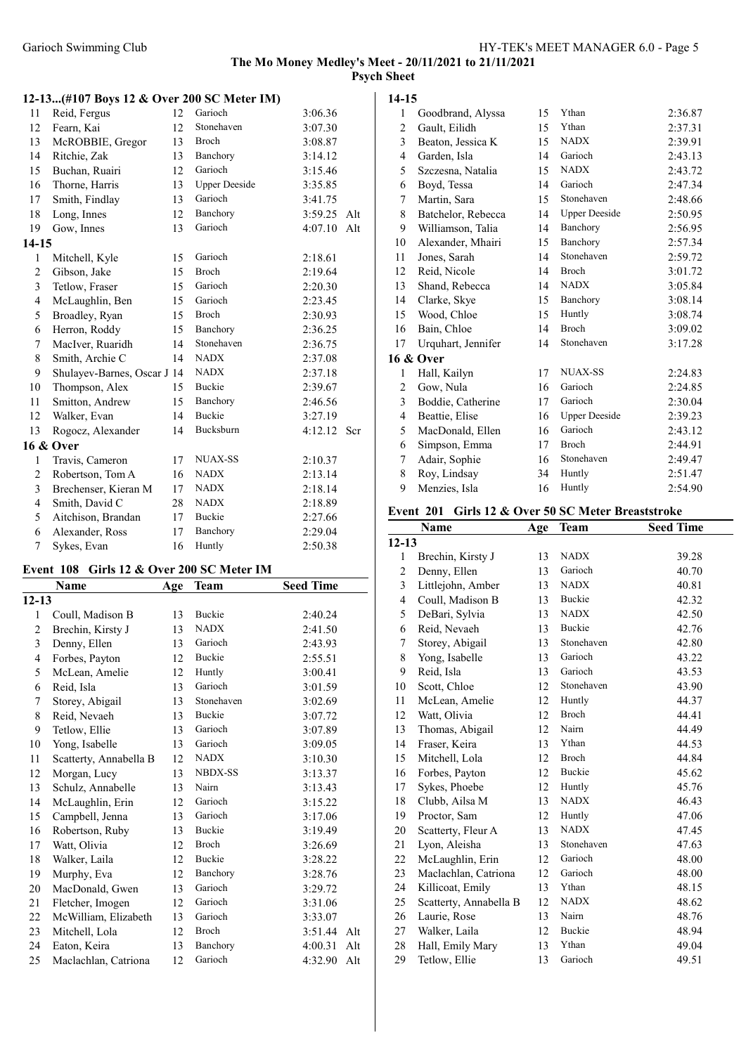#### 12-13...(#107 Boys 12 & Over 200 SC Meter IM)

| 11           | Reid, Fergus                | 12 | Garioch              | 3:06.36 |     |
|--------------|-----------------------------|----|----------------------|---------|-----|
| 12           | Fearn, Kai                  | 12 | Stonehaven           | 3:07.30 |     |
| 13           | McROBBIE, Gregor            | 13 | Broch                | 3:08.87 |     |
| 14           | Ritchie, Zak                | 13 | Banchory             | 3:14.12 |     |
| 15           | Buchan, Ruairi              | 12 | Garioch              | 3:15.46 |     |
| 16           | Thorne, Harris              | 13 | <b>Upper Deeside</b> | 3:35.85 |     |
| 17           | Smith, Findlay              | 13 | Garioch              | 3:41.75 |     |
| 18           | Long, Innes                 | 12 | Banchory             | 3:59.25 | Alt |
| 19           | Gow, Innes                  | 13 | Garioch              | 4:07.10 | Alt |
| 14-15        |                             |    |                      |         |     |
| $\mathbf{1}$ | Mitchell, Kyle              | 15 | Garioch              | 2:18.61 |     |
| $\sqrt{2}$   | Gibson, Jake                | 15 | Broch                | 2:19.64 |     |
| 3            | Tetlow, Fraser              | 15 | Garioch              | 2:20.30 |     |
| 4            | McLaughlin, Ben             | 15 | Garioch              | 2:23.45 |     |
| 5            | Broadley, Ryan              | 15 | <b>Broch</b>         | 2:30.93 |     |
| 6            | Herron, Roddy               | 15 | Banchory             | 2:36.25 |     |
| 7            | MacIver, Ruaridh            | 14 | Stonehaven           | 2:36.75 |     |
| 8            | Smith, Archie C             | 14 | <b>NADX</b>          | 2:37.08 |     |
| 9            | Shulayev-Barnes, Oscar J 14 |    | <b>NADX</b>          | 2:37.18 |     |
| 10           | Thompson, Alex              | 15 | <b>Buckie</b>        | 2:39.67 |     |
| 11           | Smitton, Andrew             | 15 | Banchory             | 2:46.56 |     |
| 12           | Walker, Evan                | 14 | <b>Buckie</b>        | 3:27.19 |     |
| 13           | Rogocz, Alexander           | 14 | Bucksburn            | 4:12.12 | Scr |
|              | 16 & Over                   |    |                      |         |     |
| 1            | Travis, Cameron             | 17 | <b>NUAX-SS</b>       | 2:10.37 |     |
| 2            | Robertson, Tom A            | 16 | <b>NADX</b>          | 2:13.14 |     |
| 3            | Brechenser, Kieran M        | 17 | <b>NADX</b>          | 2:18.14 |     |
| 4            | Smith, David C              | 28 | <b>NADX</b>          | 2:18.89 |     |
| 5            | Aitchison, Brandan          | 17 | Buckie               | 2:27.66 |     |
| 6            | Alexander, Ross             | 17 | Banchory             | 2:29.04 |     |
| 7            | Sykes, Evan                 | 16 | Huntly               | 2:50.38 |     |

### Event 108 Girls 12 & Over 200 SC Meter IM

|                | Name                   | Age | <b>Team</b>    | <b>Seed Time</b> |
|----------------|------------------------|-----|----------------|------------------|
| $12 - 13$      |                        |     |                |                  |
| 1              | Coull, Madison B       | 13  | Buckie         | 2:40.24          |
| $\overline{2}$ | Brechin, Kirsty J      | 13  | <b>NADX</b>    | 2:41.50          |
| 3              | Denny, Ellen           | 13  | Garioch        | 2:43.93          |
| $\overline{4}$ | Forbes, Payton         | 12  | Buckie         | 2:55.51          |
| 5              | McLean, Amelie         | 12  | Huntly         | 3:00.41          |
| 6              | Reid, Isla             | 13  | Garioch        | 3:01.59          |
| 7              | Storey, Abigail        | 13  | Stonehaven     | 3:02.69          |
| 8              | Reid, Nevaeh           | 13  | Buckie         | 3:07.72          |
| 9              | Tetlow, Ellie          | 13  | Garioch        | 3:07.89          |
| 10             | Yong, Isabelle         | 13  | Garioch        | 3:09.05          |
| 11             | Scatterty, Annabella B | 12  | <b>NADX</b>    | 3:10.30          |
| 12             | Morgan, Lucy           | 13  | <b>NBDX-SS</b> | 3:13.37          |
| 13             | Schulz, Annabelle      | 13  | Nairn          | 3:13.43          |
| 14             | McLaughlin, Erin       | 12  | Garioch        | 3:15.22          |
| 15             | Campbell, Jenna        | 13  | Garioch        | 3:17.06          |
| 16             | Robertson, Ruby        | 13  | Buckie         | 3:19.49          |
| 17             | Watt, Olivia           | 12  | <b>Broch</b>   | 3:26.69          |
| 18             | Walker, Laila          | 12  | <b>Buckie</b>  | 3:28.22          |
| 19             | Murphy, Eva            | 12  | Banchory       | 3:28.76          |
| 20             | MacDonald, Gwen        | 13  | Garioch        | 3:29.72          |
| 21             | Fletcher, Imogen       | 12  | Garioch        | 3:31.06          |
| 22             | McWilliam, Elizabeth   | 13  | Garioch        | 3:33.07          |
| 23             | Mitchell, Lola         | 12  | <b>Broch</b>   | 3:51.44<br>Alt   |
| 24             | Eaton, Keira           | 13  | Banchory       | 4:00.31<br>Alt   |
| 25             | Maclachlan, Catriona   | 12  | Garioch        | 4:32.90<br>Alt   |

#### 14-15

| 1                       | Goodbrand, Alyssa  | 15 | Ythan                | 2:36.87 |
|-------------------------|--------------------|----|----------------------|---------|
| 2                       | Gault, Eilidh      | 15 | Ythan                | 2:37.31 |
| $\overline{\mathbf{3}}$ | Beaton, Jessica K  | 15 | <b>NADX</b>          | 2:39.91 |
| 4                       | Garden, Isla       | 14 | Garioch              | 2:43.13 |
| 5                       | Szczesna, Natalia  | 15 | <b>NADX</b>          | 2:43.72 |
| 6                       | Boyd, Tessa        | 14 | Garioch              | 2:47.34 |
| 7                       | Martin, Sara       | 15 | Stonehaven           | 2:48.66 |
| 8                       | Batchelor, Rebecca | 14 | <b>Upper Deeside</b> | 2:50.95 |
| 9                       | Williamson, Talia  | 14 | Banchory             | 2:56.95 |
| 10                      | Alexander, Mhairi  | 15 | Banchory             | 2:57.34 |
| 11                      | Jones, Sarah       | 14 | Stonehaven           | 2:59.72 |
| 12                      | Reid, Nicole       | 14 | <b>Broch</b>         | 3:01.72 |
| 13                      | Shand, Rebecca     | 14 | <b>NADX</b>          | 3:05.84 |
| 14                      | Clarke, Skye       | 15 | Banchory             | 3:08.14 |
| 15                      | Wood, Chloe        | 15 | Huntly               | 3:08.74 |
| 16                      | Bain, Chloe        | 14 | <b>Broch</b>         | 3:09.02 |
| 17                      | Urquhart, Jennifer | 14 | Stonehaven           | 3:17.28 |
|                         | 16 & Over          |    |                      |         |
| 1                       | Hall, Kailyn       | 17 | <b>NUAX-SS</b>       | 2:24.83 |
| 2                       | Gow, Nula          | 16 | Garioch              | 2:24.85 |
| $\overline{\mathbf{3}}$ | Boddie, Catherine  | 17 | Garioch              | 2:30.04 |
| 4                       | Beattie, Elise     | 16 | <b>Upper Deeside</b> | 2:39.23 |
| 5                       | MacDonald, Ellen   | 16 | Garioch              | 2:43.12 |
| 6                       | Simpson, Emma      | 17 | <b>Broch</b>         | 2:44.91 |
| 7                       | Adair, Sophie      | 16 | Stonehaven           | 2:49.47 |
| 8                       | Roy, Lindsay       | 34 | Huntly               | 2:51.47 |
| 9                       | Menzies, Isla      | 16 | Huntly               | 2:54.90 |

#### Event 201 Girls 12 & Over 50 SC Meter Breaststroke

| Name                   | Age          | <b>Team</b>  | <b>Seed Time</b>                                     |
|------------------------|--------------|--------------|------------------------------------------------------|
| $12 - 13$              |              |              |                                                      |
| Brechin, Kirsty J      | 13           | <b>NADX</b>  | 39.28                                                |
| Denny, Ellen           | 13           | Garioch      | 40.70                                                |
| Littlejohn, Amber      | 13           | <b>NADX</b>  | 40.81                                                |
| Coull, Madison B       | 13           | Buckie       | 42.32                                                |
| DeBari, Sylvia         | 13           | <b>NADX</b>  | 42.50                                                |
| Reid, Nevaeh           | 13           | Buckie       | 42.76                                                |
| Storey, Abigail        | 13           | Stonehaven   | 42.80                                                |
| Yong, Isabelle         | 13           | Garioch      | 43.22                                                |
| Reid, Isla             | 13           | Garioch      | 43.53                                                |
| Scott, Chloe           | 12           | Stonehaven   | 43.90                                                |
| McLean, Amelie         | 12           | Huntly       | 44.37                                                |
| Watt, Olivia           | 12           | Broch        | 44.41                                                |
| Thomas, Abigail        | 12           | Nairn        | 44.49                                                |
| Fraser, Keira          | 13           | Ythan        | 44.53                                                |
| Mitchell, Lola         | 12           | <b>Broch</b> | 44.84                                                |
| Forbes, Payton         | 12           | Buckie       | 45.62                                                |
| Sykes, Phoebe          | 12           | Huntly       | 45.76                                                |
| Clubb, Ailsa M         | 13           | <b>NADX</b>  | 46.43                                                |
| Proctor, Sam           | 12           | Huntly       | 47.06                                                |
| Scatterty, Fleur A     | 13           | <b>NADX</b>  | 47.45                                                |
| Lyon, Aleisha          | 13           | Stonehaven   | 47.63                                                |
| McLaughlin, Erin       | 12           | Garioch      | 48.00                                                |
| Maclachlan, Catriona   | 12           | Garioch      | 48.00                                                |
| Killicoat, Emily       | 13           | Ythan        | 48.15                                                |
| Scatterty, Annabella B | 12           | <b>NADX</b>  | 48.62                                                |
| Laurie, Rose           | 13           | Nairn        | 48.76                                                |
| Walker, Laila          | 12           | Buckie       | 48.94                                                |
| Hall, Emily Mary       | 13           | Ythan        | 49.04                                                |
| Tetlow, Ellie          | 13           | Garioch      | 49.51                                                |
|                        | $\mathbf{u}$ |              | <b>SHIS 12 &amp; OVER 50 SC METER DI CASISTI OKC</b> |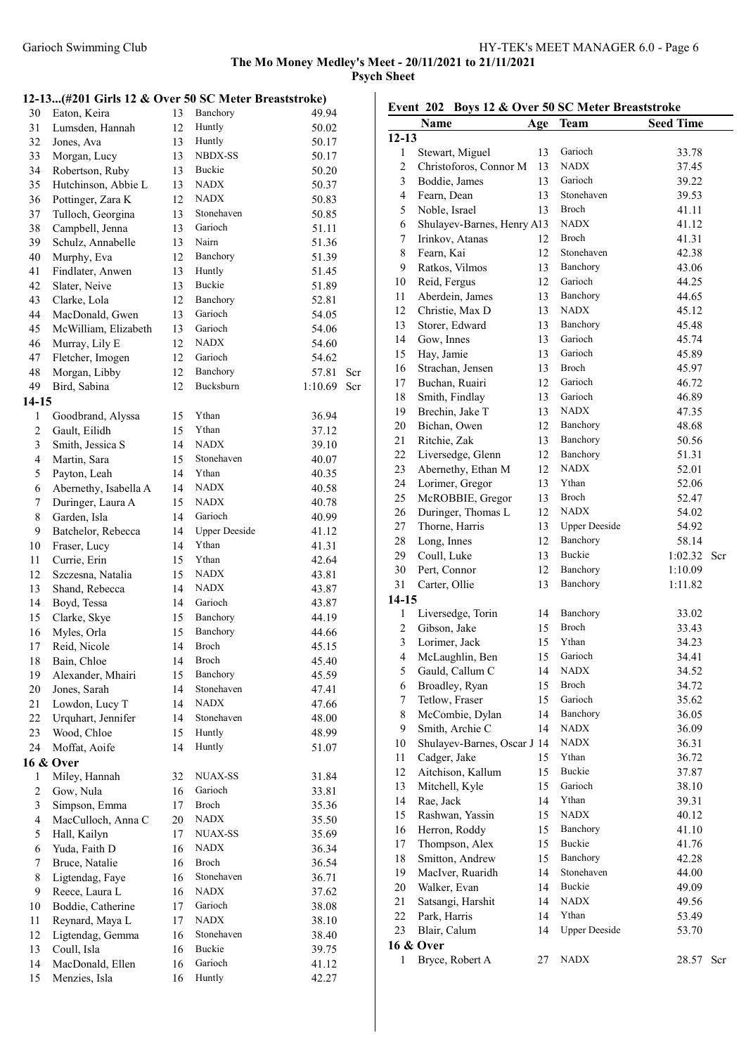## 12-13...(#201 Girls 12 & Over 50 SC Meter Breaststroke)

| 30               | Eaton, Keira          | 13 | Banchory             | 49.94   |     |
|------------------|-----------------------|----|----------------------|---------|-----|
| 31               | Lumsden, Hannah       | 12 | Huntly               | 50.02   |     |
| 32               | Jones, Ava            | 13 | Huntly               | 50.17   |     |
| 33               | Morgan, Lucy          | 13 | NBDX-SS              | 50.17   |     |
| 34               | Robertson, Ruby       | 13 | Buckie               | 50.20   |     |
| 35               | Hutchinson, Abbie L   | 13 | <b>NADX</b>          | 50.37   |     |
| 36               | Pottinger, Zara K     | 12 | NADX                 | 50.83   |     |
| 37               |                       |    | Stonehaven           |         |     |
|                  | Tulloch, Georgina     | 13 | Garioch              | 50.85   |     |
| 38               | Campbell, Jenna       | 13 |                      | 51.11   |     |
| 39               | Schulz, Annabelle     | 13 | Nairn                | 51.36   |     |
| 40               | Murphy, Eva           | 12 | Banchory             | 51.39   |     |
| 41               | Findlater, Anwen      | 13 | Huntly               | 51.45   |     |
| 42               | Slater, Neive         | 13 | Buckie               | 51.89   |     |
| 43               | Clarke, Lola          | 12 | Banchory             | 52.81   |     |
| 44               | MacDonald, Gwen       | 13 | Garioch              | 54.05   |     |
| 45               | McWilliam, Elizabeth  | 13 | Garioch              | 54.06   |     |
| 46               | Murray, Lily E        | 12 | <b>NADX</b>          | 54.60   |     |
| 47               | Fletcher, Imogen      | 12 | Garioch              | 54.62   |     |
| 48               | Morgan, Libby         | 12 | Banchory             | 57.81   | Scr |
| 49               | Bird, Sabina          | 12 | Bucksburn            | 1:10.69 | Scr |
| $14-15$          |                       |    |                      |         |     |
| $\mathbf{1}$     | Goodbrand, Alyssa     | 15 | Ythan                | 36.94   |     |
| $\boldsymbol{2}$ | Gault, Eilidh         | 15 | Ythan                | 37.12   |     |
| $\mathfrak{Z}$   | Smith, Jessica S      | 14 | <b>NADX</b>          | 39.10   |     |
| $\overline{4}$   |                       | 15 | Stonehaven           |         |     |
|                  | Martin, Sara          |    |                      | 40.07   |     |
| 5                | Payton, Leah          | 14 | Ythan                | 40.35   |     |
| 6                | Abernethy, Isabella A | 14 | <b>NADX</b>          | 40.58   |     |
| 7                | Duringer, Laura A     | 15 | <b>NADX</b>          | 40.78   |     |
| 8                | Garden, Isla          | 14 | Garioch              | 40.99   |     |
| 9                | Batchelor, Rebecca    | 14 | <b>Upper Deeside</b> | 41.12   |     |
| $10\,$           | Fraser, Lucy          | 14 | Ythan                | 41.31   |     |
| 11               | Currie, Erin          | 15 | Ythan                | 42.64   |     |
| 12               | Szczesna, Natalia     | 15 | <b>NADX</b>          | 43.81   |     |
| 13               | Shand, Rebecca        | 14 | <b>NADX</b>          | 43.87   |     |
| 14               | Boyd, Tessa           | 14 | Garioch              | 43.87   |     |
| 15               | Clarke, Skye          | 15 | Banchory             | 44.19   |     |
| 16               | Myles, Orla           | 15 | Banchory             | 44.66   |     |
| 17               | Reid, Nicole          | 14 | <b>Broch</b>         | 45.15   |     |
| 18               | Bain, Chloe           | 14 | Broch                | 45.40   |     |
| 19               | Alexander, Mhairi     | 15 | Banchory             | 45.59   |     |
| 20               | Jones, Sarah          | 14 | Stonehaven           | 47.41   |     |
| 21               | Lowdon, Lucy T        | 14 | <b>NADX</b>          | 47.66   |     |
| 22               |                       | 14 | Stonehaven           |         |     |
|                  | Urquhart, Jennifer    |    |                      | 48.00   |     |
| 23               | Wood, Chloe           | 15 | Huntly               | 48.99   |     |
| 24               | Moffat, Aoife         | 14 | Huntly               | 51.07   |     |
|                  | 16 & Over             |    |                      |         |     |
| 1                | Miley, Hannah         | 32 | <b>NUAX-SS</b>       | 31.84   |     |
| $\boldsymbol{2}$ | Gow, Nula             | 16 | Garioch              | 33.81   |     |
| $\mathfrak{Z}$   | Simpson, Emma         | 17 | Broch                | 35.36   |     |
| $\overline{4}$   | MacCulloch, Anna C    | 20 | <b>NADX</b>          | 35.50   |     |
| 5                | Hall, Kailyn          | 17 | <b>NUAX-SS</b>       | 35.69   |     |
| 6                | Yuda, Faith D         | 16 | <b>NADX</b>          | 36.34   |     |
| 7                | Bruce, Natalie        | 16 | Broch                | 36.54   |     |
| 8                | Ligtendag, Faye       | 16 | Stonehaven           | 36.71   |     |
| 9                | Reece, Laura L        | 16 | <b>NADX</b>          | 37.62   |     |
| 10               | Boddie, Catherine     | 17 | Garioch              | 38.08   |     |
| 11               | Reynard, Maya L       | 17 | <b>NADX</b>          | 38.10   |     |
| 12               | Ligtendag, Gemma      | 16 | Stonehaven           | 38.40   |     |
| 13               | Coull, Isla           | 16 | <b>Buckie</b>        | 39.75   |     |
| 14               | MacDonald, Ellen      | 16 | Garioch              | 41.12   |     |
|                  | Menzies, Isla         |    | Huntly               |         |     |
| 15               |                       | 16 |                      | 42.27   |     |

# Event 202 Boys 12 & Over 50 SC Meter Breaststroke

|                         | Name                        | Age | Team                 | <b>Seed Time</b>   |     |
|-------------------------|-----------------------------|-----|----------------------|--------------------|-----|
| $12 - 13$               |                             |     |                      |                    |     |
| $\mathbf{1}$            | Stewart, Miguel             | 13  | Garioch              | 33.78              |     |
| $\overline{c}$          | Christoforos, Connor M      | 13  | <b>NADX</b>          | 37.45              |     |
| 3                       | Boddie, James               | 13  | Garioch              | 39.22              |     |
| $\overline{4}$          | Fearn, Dean                 | 13  | Stonehaven           | 39.53              |     |
| 5                       | Noble, Israel               | 13  | Broch                | 41.11              |     |
| 6                       | Shulayev-Barnes, Henry A13  |     | <b>NADX</b>          | 41.12              |     |
| 7                       | Irinkov, Atanas             | 12  | Broch                | 41.31              |     |
| 8                       | Fearn, Kai                  | 12  | Stonehaven           | 42.38              |     |
| 9                       | Ratkos, Vilmos              | 13  | Banchory             | 43.06              |     |
| 10                      | Reid, Fergus                | 12  | Garioch              | 44.25              |     |
| 11                      | Aberdein, James             | 13  | Banchory             | 44.65              |     |
| 12                      | Christie, Max D             | 13  | <b>NADX</b>          | 45.12              |     |
| 13                      | Storer, Edward              | 13  | Banchory             | 45.48              |     |
| 14                      | Gow, Innes                  | 13  | Garioch              | 45.74              |     |
| 15                      | Hay, Jamie                  | 13  | Garioch              | 45.89              |     |
| 16                      | Strachan, Jensen            | 13  | Broch                | 45.97              |     |
| 17                      | Buchan, Ruairi              | 12  | Garioch              | 46.72              |     |
| 18                      | Smith, Findlay              | 13  | Garioch              | 46.89              |     |
| 19                      | Brechin, Jake T             | 13  | <b>NADX</b>          | 47.35              |     |
| 20                      | Bichan, Owen                | 12  | Banchory             | 48.68              |     |
| 21                      | Ritchie, Zak                | 13  | Banchory             | 50.56              |     |
| 22                      | Liversedge, Glenn           | 12  | Banchory             | 51.31              |     |
| 23                      | Abernethy, Ethan M          | 12  | <b>NADX</b>          | 52.01              |     |
| 24                      | Lorimer, Gregor             | 13  | Ythan                | 52.06              |     |
| 25                      | McROBBIE, Gregor            | 13  | Broch                | 52.47              |     |
| 26                      | Duringer, Thomas L          | 12  | <b>NADX</b>          | 54.02              |     |
| 27                      | Thorne, Harris              | 13  | <b>Upper Deeside</b> | 54.92              |     |
| 28                      | Long, Innes                 | 12  | Banchory             | 58.14              |     |
| 29                      | Coull, Luke                 | 13  | <b>Buckie</b>        | 1:02.32            | Scr |
| 30                      | Pert, Connor                | 12  | Banchory             |                    |     |
| 31                      | Carter, Ollie               | 13  | Banchory             | 1:10.09<br>1:11.82 |     |
| $14-15$                 |                             |     |                      |                    |     |
| $\mathbf{1}$            | Liversedge, Torin           | 14  | Banchory             | 33.02              |     |
| 2                       | Gibson, Jake                | 15  | Broch                | 33.43              |     |
| 3                       | Lorimer, Jack               | 15  | Ythan                | 34.23              |     |
| $\overline{\mathbf{4}}$ | McLaughlin, Ben             | 15  | Garioch              | 34.41              |     |
| 5                       | Gauld, Callum C             | 14  | NADX                 | 34.52              |     |
| 6                       | Broadley, Ryan              | 15  | Broch                | 34.72              |     |
| 7                       | Tetlow, Fraser              | 15  | Garioch              | 35.62              |     |
| 8                       | McCombie, Dylan             | 14  | Banchory             | 36.05              |     |
| 9                       | Smith, Archie C             | 14  | <b>NADX</b>          | 36.09              |     |
| 10                      | Shulayev-Barnes, Oscar J 14 |     | <b>NADX</b>          | 36.31              |     |
| 11                      | Cadger, Jake                | 15  | Ythan                | 36.72              |     |
| 12                      | Aitchison, Kallum           | 15  | Buckie               | 37.87              |     |
| 13                      | Mitchell, Kyle              | 15  | Garioch              | 38.10              |     |
| 14                      | Rae, Jack                   | 14  | Ythan                | 39.31              |     |
| 15                      | Rashwan, Yassin             | 15  | <b>NADX</b>          | 40.12              |     |
| 16                      | Herron, Roddy               | 15  | Banchory             | 41.10              |     |
| 17                      | Thompson, Alex              | 15  | Buckie               | 41.76              |     |
| 18                      | Smitton, Andrew             | 15  | Banchory             | 42.28              |     |
| 19                      | MacIver, Ruaridh            | 14  | Stonehaven           | 44.00              |     |
| 20                      | Walker, Evan                | 14  | Buckie               | 49.09              |     |
| 21                      | Satsangi, Harshit           | 14  | <b>NADX</b>          | 49.56              |     |
| 22                      | Park, Harris                | 14  | Ythan                | 53.49              |     |
| 23                      | Blair, Calum                | 14  | <b>Upper Deeside</b> | 53.70              |     |
|                         | 16 & Over                   |     |                      |                    |     |
| $\mathbf{1}$            | Bryce, Robert A             | 27  | <b>NADX</b>          | 28.57              | Scr |
|                         |                             |     |                      |                    |     |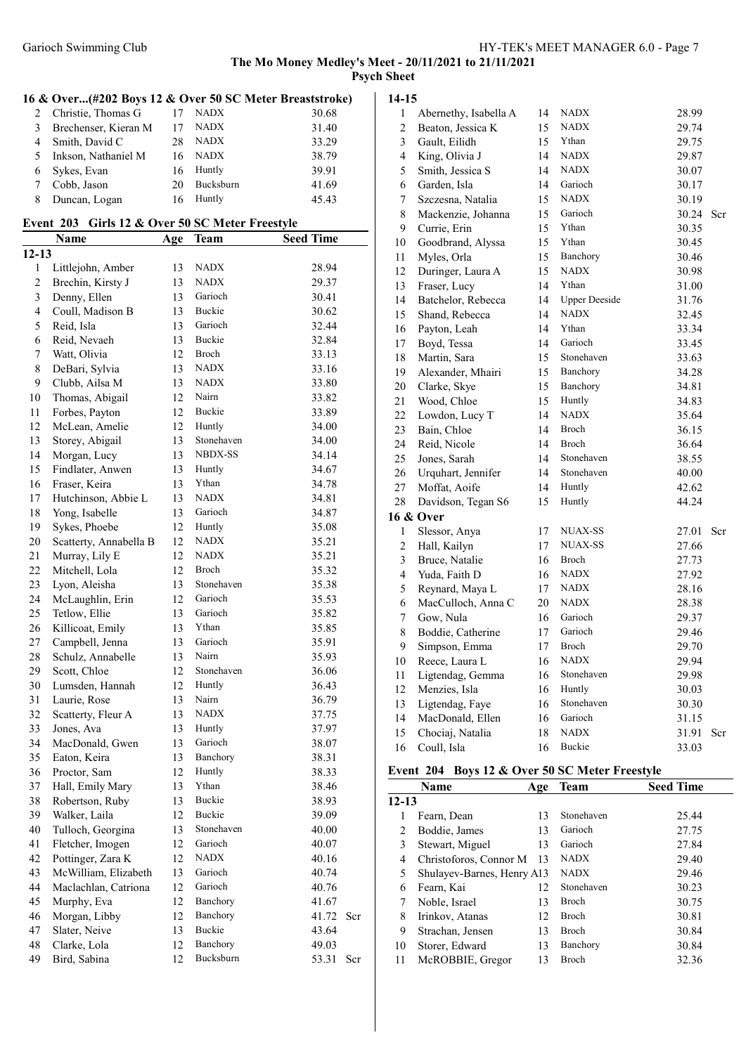# The Mo Money Medley's Meet - 20/11/2021 to 21/11/2021

Psych Sheet

# 16 & Over...(#202 Boys 12 & Over 50 SC Meter Breaststroke)

|    | 2 Christie, Thomas G |    | <b>NADX</b> | 30.68 |
|----|----------------------|----|-------------|-------|
| 3  | Brechenser, Kieran M |    | <b>NADX</b> | 31.40 |
|    | Smith, David C       | 28 | <b>NADX</b> | 33.29 |
| 5. | Inkson, Nathaniel M  | 16 | <b>NADX</b> | 38.79 |
|    | 6 Sykes, Evan        | 16 | Huntly      | 39.91 |
|    | Cobb, Jason          | 20 | Bucksburn   | 41.69 |
|    | Duncan, Logan        | 16 | Huntly      | 45 43 |

#### Event 203 Girls 12 & Over 50 SC Meter Freestyle

|                | Name                   | Age | Team           | <b>Seed Time</b> |     |
|----------------|------------------------|-----|----------------|------------------|-----|
| $12 - 13$      |                        |     |                |                  |     |
| 1              | Littlejohn, Amber      | 13  | <b>NADX</b>    | 28.94            |     |
| $\overline{c}$ | Brechin, Kirsty J      | 13  | <b>NADX</b>    | 29.37            |     |
| 3              | Denny, Ellen           | 13  | Garioch        | 30.41            |     |
| $\overline{4}$ | Coull, Madison B       | 13  | Buckie         | 30.62            |     |
| 5              | Reid, Isla             | 13  | Garioch        | 32.44            |     |
| 6              | Reid, Nevaeh           | 13  | Buckie         | 32.84            |     |
| 7              | Watt, Olivia           | 12  | Broch          | 33.13            |     |
| 8              | DeBari, Sylvia         | 13  | <b>NADX</b>    | 33.16            |     |
| 9              | Clubb, Ailsa M         | 13  | <b>NADX</b>    | 33.80            |     |
| 10             | Thomas, Abigail        | 12  | Nairn          | 33.82            |     |
| 11             | Forbes, Payton         | 12  | Buckie         | 33.89            |     |
| 12             | McLean, Amelie         | 12  | Huntly         | 34.00            |     |
| 13             | Storey, Abigail        | 13  | Stonehaven     | 34.00            |     |
| 14             | Morgan, Lucy           | 13  | <b>NBDX-SS</b> | 34.14            |     |
| 15             | Findlater, Anwen       | 13  | Huntly         | 34.67            |     |
| 16             | Fraser, Keira          | 13  | Ythan          | 34.78            |     |
| 17             | Hutchinson, Abbie L    | 13  | <b>NADX</b>    | 34.81            |     |
| 18             | Yong, Isabelle         | 13  | Garioch        | 34.87            |     |
|                | Sykes, Phoebe          | 12  | Huntly         |                  |     |
| 19             |                        | 12  | <b>NADX</b>    | 35.08<br>35.21   |     |
| 20             | Scatterty, Annabella B | 12  | <b>NADX</b>    |                  |     |
| 21             | Murray, Lily E         |     |                | 35.21            |     |
| 22             | Mitchell, Lola         | 12  | Broch          | 35.32            |     |
| 23             | Lyon, Aleisha          | 13  | Stonehaven     | 35.38            |     |
| 24             | McLaughlin, Erin       | 12  | Garioch        | 35.53            |     |
| 25             | Tetlow, Ellie          | 13  | Garioch        | 35.82            |     |
| 26             | Killicoat, Emily       | 13  | Ythan          | 35.85            |     |
| 27             | Campbell, Jenna        | 13  | Garioch        | 35.91            |     |
| 28             | Schulz, Annabelle      | 13  | Nairn          | 35.93            |     |
| 29             | Scott, Chloe           | 12  | Stonehaven     | 36.06            |     |
| 30             | Lumsden, Hannah        | 12  | Huntly         | 36.43            |     |
| 31             | Laurie, Rose           | 13  | Nairn          | 36.79            |     |
| 32             | Scatterty, Fleur A     | 13  | <b>NADX</b>    | 37.75            |     |
| 33             | Jones, Ava             | 13  | Huntly         | 37.97            |     |
| 34             | MacDonald, Gwen        | 13  | Garioch        | 38.07            |     |
| 35             | Eaton, Keira           | 13  | Banchory       | 38.31            |     |
| 36             | Proctor, Sam           | 12  | Huntly         | 38.33            |     |
| 37             | Hall, Emily Mary       | 13  | Ythan          | 38.46            |     |
| 38             | Robertson, Ruby        | 13  | Buckie         | 38.93            |     |
| 39             | Walker, Laila          | 12  | <b>Buckie</b>  | 39.09            |     |
| 40             | Tulloch, Georgina      | 13  | Stonehaven     | 40.00            |     |
| 41             | Fletcher, Imogen       | 12  | Garioch        | 40.07            |     |
| 42             | Pottinger, Zara K      | 12  | <b>NADX</b>    | 40.16            |     |
| 43             | McWilliam, Elizabeth   | 13  | Garioch        | 40.74            |     |
| 44             | Maclachlan, Catriona   | 12  | Garioch        | 40.76            |     |
| 45             | Murphy, Eva            | 12  | Banchory       | 41.67            |     |
| 46             | Morgan, Libby          | 12  | Banchory       | 41.72            | Scr |
| 47             | Slater, Neive          | 13  | <b>Buckie</b>  | 43.64            |     |
| 48             | Clarke, Lola           | 12  | Banchory       | 49.03            |     |
| 49             | Bird, Sabina           | 12  | Bucksburn      | 53.31            | Scr |

#### 14-15

| $\mathbf{1}$   | Abernethy, Isabella A | 14 | <b>NADX</b>          | 28.99 |     |
|----------------|-----------------------|----|----------------------|-------|-----|
| $\overline{c}$ | Beaton, Jessica K     | 15 | <b>NADX</b>          | 29.74 |     |
| 3              | Gault, Eilidh         | 15 | Ythan                | 29.75 |     |
| 4              | King, Olivia J        | 14 | <b>NADX</b>          | 29.87 |     |
| 5              | Smith, Jessica S      | 14 | NADX                 | 30.07 |     |
| 6              | Garden, Isla          | 14 | Garioch              | 30.17 |     |
| 7              | Szczesna, Natalia     | 15 | <b>NADX</b>          | 30.19 |     |
| 8              | Mackenzie, Johanna    | 15 | Garioch              | 30.24 | Scr |
| 9              | Currie, Erin          | 15 | Ythan                | 30.35 |     |
| 10             | Goodbrand, Alyssa     | 15 | Ythan                | 30.45 |     |
| 11             | Myles, Orla           | 15 | Banchory             | 30.46 |     |
| 12             | Duringer, Laura A     | 15 | <b>NADX</b>          | 30.98 |     |
| 13             | Fraser, Lucy          | 14 | Ythan                | 31.00 |     |
| 14             | Batchelor, Rebecca    | 14 | <b>Upper Deeside</b> | 31.76 |     |
| 15             | Shand, Rebecca        | 14 | <b>NADX</b>          | 32.45 |     |
| 16             | Payton, Leah          | 14 | Ythan                | 33.34 |     |
| 17             | Boyd, Tessa           | 14 | Garioch              | 33.45 |     |
| 18             | Martin, Sara          | 15 | Stonehaven           | 33.63 |     |
| 19             | Alexander, Mhairi     | 15 | Banchory             | 34.28 |     |
| 20             | Clarke, Skye          | 15 | Banchory             | 34.81 |     |
| 21             | Wood, Chloe           | 15 | Huntly               | 34.83 |     |
| 22             | Lowdon, Lucy T        | 14 | <b>NADX</b>          | 35.64 |     |
| 23             | Bain, Chloe           | 14 | Broch                | 36.15 |     |
| 24             | Reid, Nicole          | 14 | <b>Broch</b>         | 36.64 |     |
| 25             | Jones, Sarah          | 14 | Stonehaven           | 38.55 |     |
| 26             | Urquhart, Jennifer    | 14 | Stonehaven           | 40.00 |     |
| 27             | Moffat, Aoife         | 14 | Huntly               | 42.62 |     |
| 28             | Davidson, Tegan S6    | 15 | Huntly               | 44.24 |     |
|                | 16 & Over             |    |                      |       |     |
| 1              | Slessor, Anya         | 17 | NUAX-SS              | 27.01 | Scr |
| $\overline{c}$ | Hall, Kailyn          | 17 | <b>NUAX-SS</b>       | 27.66 |     |
| 3              | Bruce, Natalie        | 16 | Broch                | 27.73 |     |
| 4              | Yuda, Faith D         | 16 | <b>NADX</b>          | 27.92 |     |
| 5              | Reynard, Maya L       | 17 | <b>NADX</b>          | 28.16 |     |
| 6              | MacCulloch, Anna C    | 20 | <b>NADX</b>          | 28.38 |     |
| 7              | Gow, Nula             | 16 | Garioch              | 29.37 |     |
| 8              | Boddie, Catherine     | 17 | Garioch              | 29.46 |     |
| 9              | Simpson, Emma         | 17 | Broch                | 29.70 |     |
| 10             | Reece, Laura L        | 16 | <b>NADX</b>          | 29.94 |     |
| 11             | Ligtendag, Gemma      | 16 | Stonehaven           | 29.98 |     |
| 12             | Menzies, Isla         | 16 | Huntly               | 30.03 |     |
| 13             | Ligtendag, Faye       | 16 | Stonehaven           | 30.30 |     |
| 14             | MacDonald, Ellen      | 16 | Garioch              | 31.15 |     |
| 15             | Chociaj, Natalia      | 18 | <b>NADX</b>          | 31.91 | Scr |
| 16             | Coull, Isla           | 16 | Buckie               | 33.03 |     |

# Event 204 Boys 12 & Over 50 SC Meter Freestyle

|           | Name                       | Age | <b>Team</b>  | <b>Seed Time</b> |
|-----------|----------------------------|-----|--------------|------------------|
| $12 - 13$ |                            |     |              |                  |
|           | Fearn, Dean                | 13  | Stonehaven   | 25.44            |
| 2         | Boddie, James              | 13  | Garioch      | 27.75            |
| 3         | Stewart, Miguel            | 13  | Garioch      | 27.84            |
| 4         | Christoforos, Connor M     | 13  | <b>NADX</b>  | 29.40            |
| 5         | Shulayev-Barnes, Henry A13 |     | <b>NADX</b>  | 29.46            |
| 6         | Fearn, Kai                 | 12  | Stonehaven   | 30.23            |
|           | Noble, Israel              | 13  | <b>Broch</b> | 30.75            |
| 8         | Irinkov, Atanas            | 12  | Broch        | 30.81            |
| 9         | Strachan, Jensen           | 13  | Broch        | 30.84            |
| 10        | Storer, Edward             | 13  | Banchory     | 30.84            |
| 11        | McROBBIE, Gregor           | 13  | Broch        | 32.36            |